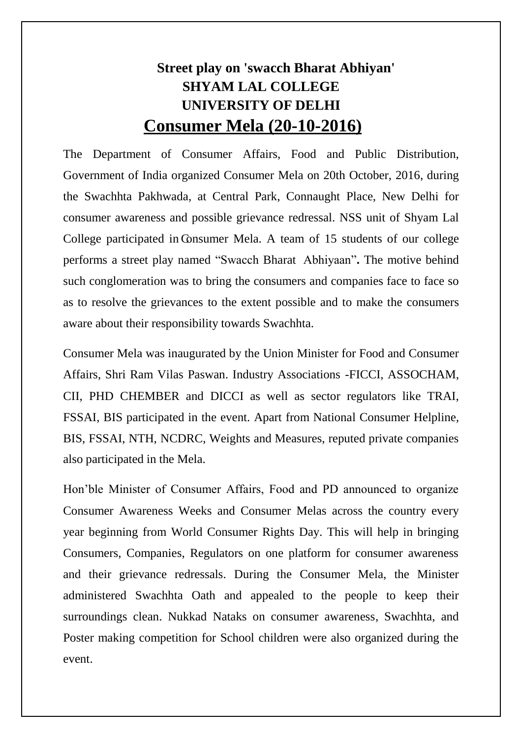## **Street play on 'swacch Bharat Abhiyan' SHYAM LAL COLLEGE UNIVERSITY OF DELHI Consumer Mela (20-10-2016)**

The Department of Consumer Affairs, Food and Public Distribution, Government of India organized Consumer Mela on 20th October, 2016, during the Swachhta Pakhwada, at Central Park, Connaught Place, New Delhi for consumer awareness and possible grievance redressal. NSS unit of Shyam Lal College participated in Consumer Mela. A team of 15 students of our college performs a street play named "Swacch Bharat Abhiyaan"**.** The motive behind such conglomeration was to bring the consumers and companies face to face so as to resolve the grievances to the extent possible and to make the consumers aware about their responsibility towards Swachhta.

Consumer Mela was inaugurated by the Union Minister for Food and Consumer Affairs, Shri Ram Vilas Paswan. Industry Associations -FICCI, ASSOCHAM, CII, PHD CHEMBER and DICCI as well as sector regulators like TRAI, FSSAI, BIS participated in the event. Apart from National Consumer Helpline, BIS, FSSAI, NTH, NCDRC, Weights and Measures, reputed private companies also participated in the Mela.

Hon'ble Minister of Consumer Affairs, Food and PD announced to organize Consumer Awareness Weeks and Consumer Melas across the country every year beginning from World Consumer Rights Day. This will help in bringing Consumers, Companies, Regulators on one platform for consumer awareness and their grievance redressals. During the Consumer Mela, the Minister administered Swachhta Oath and appealed to the people to keep their surroundings clean. Nukkad Nataks on consumer awareness, Swachhta, and Poster making competition for School children were also organized during the event.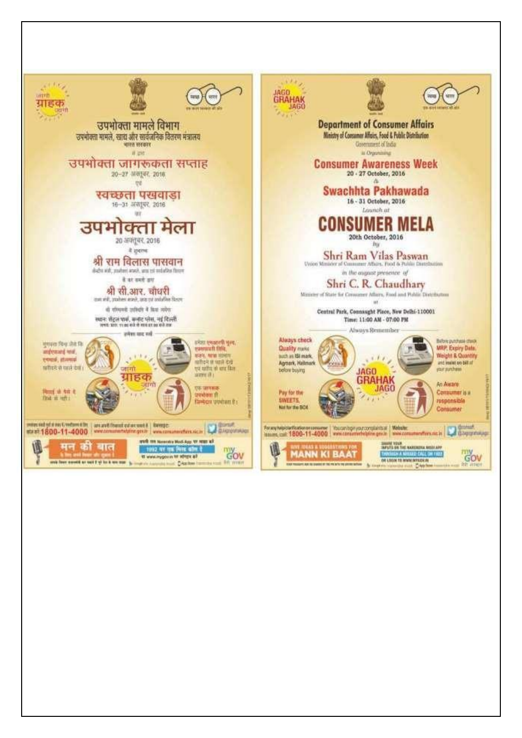